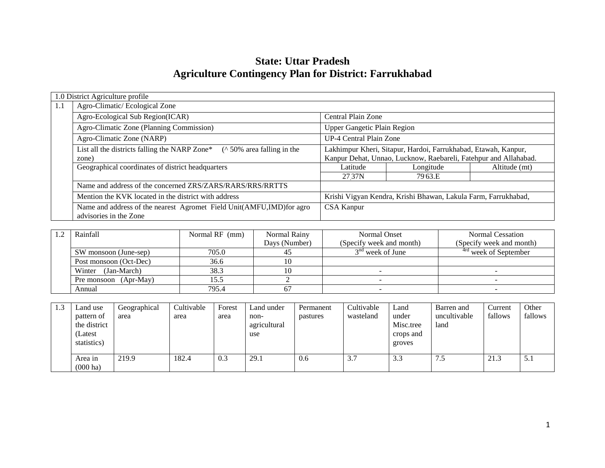# **State: Uttar Pradesh Agriculture Contingency Plan for District: Farrukhabad**

|     | 1.0 District Agriculture profile                                                                 |                                                                                                                                    |           |               |  |  |  |  |
|-----|--------------------------------------------------------------------------------------------------|------------------------------------------------------------------------------------------------------------------------------------|-----------|---------------|--|--|--|--|
| 1.1 | Agro-Climatic/Ecological Zone                                                                    |                                                                                                                                    |           |               |  |  |  |  |
|     | Agro-Ecological Sub Region(ICAR)                                                                 | Central Plain Zone                                                                                                                 |           |               |  |  |  |  |
|     | Agro-Climatic Zone (Planning Commission)                                                         | Upper Gangetic Plain Region                                                                                                        |           |               |  |  |  |  |
|     | Agro-Climatic Zone (NARP)                                                                        | UP-4 Central Plain Zone                                                                                                            |           |               |  |  |  |  |
|     | $($ \landom 50% area falling in the<br>List all the districts falling the NARP Zone*<br>zone)    | Lakhimpur Kheri, Sitapur, Hardoi, Farrukhabad, Etawah, Kanpur,<br>Kanpur Dehat, Unnao, Lucknow, Raebareli, Fatehpur and Allahabad. |           |               |  |  |  |  |
|     | Geographical coordinates of district headquarters                                                | Latitude                                                                                                                           | Longitude | Altitude (mt) |  |  |  |  |
|     |                                                                                                  | 27 37N                                                                                                                             | 79.63.E   |               |  |  |  |  |
|     | Name and address of the concerned ZRS/ZARS/RARS/RRS/RRTTS                                        |                                                                                                                                    |           |               |  |  |  |  |
|     | Mention the KVK located in the district with address                                             | Krishi Vigyan Kendra, Krishi Bhawan, Lakula Farm, Farrukhabad,                                                                     |           |               |  |  |  |  |
|     | Name and address of the nearest Agromet Field Unit(AMFU, IMD) for agro<br>advisories in the Zone | CSA Kanpur                                                                                                                         |           |               |  |  |  |  |

| Rainfall               | Normal RF (mm) | Normal Rainy  | <b>Normal Onset</b>      | Normal Cessation                 |
|------------------------|----------------|---------------|--------------------------|----------------------------------|
|                        |                | Days (Number) | (Specify week and month) | (Specify week and month)         |
| SW monsoon (June-sep)  | 705.0          |               | $3nd$ week of June       | <sup>4rd</sup> week of September |
| Post monsoon (Oct-Dec) | 36.6           |               |                          |                                  |
| Winter (Jan-March)     | 38.3           |               |                          |                                  |
| Pre monsoon (Apr-May)  | 15.5           |               |                          |                                  |
| Annual                 | 795.4          |               |                          |                                  |

| 1.3 | Land use                                             | Geographical | Cultivable | Forest | Land under                  | Permanent | Cultivable    | Land                                      | Barren and           | Current | Other   |
|-----|------------------------------------------------------|--------------|------------|--------|-----------------------------|-----------|---------------|-------------------------------------------|----------------------|---------|---------|
|     | pattern of<br>the district<br>(Latest<br>statistics) | area         | area       | area   | non-<br>agricultural<br>use | pastures  | wasteland     | under<br>Misc.tree<br>crops and<br>groves | uncultivable<br>land | fallows | fallows |
|     | Area in<br>$(000 \text{ ha})$                        | 219.9        | 182.4      | 0.3    | 29.1                        | 0.6       | $\sim$<br>3.1 | 3.3                                       | د. ا                 | 21.3    | 5.1     |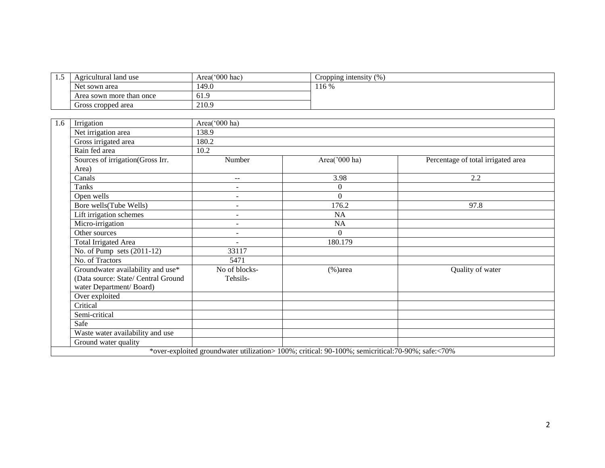| ن د ک | Agricultural land use    | Area('000 hac) | (%<br>Cropping intensity |
|-------|--------------------------|----------------|--------------------------|
|       | Net sown area            | 149.0          | 116 %                    |
|       | Area sown more than once | 61.9           |                          |
|       | Gross cropped area       | 210.9          |                          |

| 1.6 | Irrigation                          | Area('000 ha)            |                                                                                                  |                                    |  |  |  |  |  |  |
|-----|-------------------------------------|--------------------------|--------------------------------------------------------------------------------------------------|------------------------------------|--|--|--|--|--|--|
|     | Net irrigation area                 | 138.9                    |                                                                                                  |                                    |  |  |  |  |  |  |
|     | Gross irrigated area                | 180.2                    |                                                                                                  |                                    |  |  |  |  |  |  |
|     | Rain fed area                       | 10.2                     |                                                                                                  |                                    |  |  |  |  |  |  |
|     | Sources of irrigation(Gross Irr.    | Number                   | Area('000 ha)                                                                                    | Percentage of total irrigated area |  |  |  |  |  |  |
|     | Area)                               |                          |                                                                                                  |                                    |  |  |  |  |  |  |
|     | Canals                              | $- -$                    | 3.98                                                                                             | 2.2                                |  |  |  |  |  |  |
|     | Tanks                               |                          | $\Omega$                                                                                         |                                    |  |  |  |  |  |  |
|     | Open wells                          |                          | $\Omega$                                                                                         |                                    |  |  |  |  |  |  |
|     | Bore wells(Tube Wells)              | $\sim$                   | 176.2                                                                                            | 97.8                               |  |  |  |  |  |  |
|     | Lift irrigation schemes             | $\overline{\phantom{a}}$ | <b>NA</b>                                                                                        |                                    |  |  |  |  |  |  |
|     | Micro-irrigation                    |                          | NA                                                                                               |                                    |  |  |  |  |  |  |
|     | Other sources                       |                          | $\Omega$                                                                                         |                                    |  |  |  |  |  |  |
|     | Total Irrigated Area                |                          | 180.179                                                                                          |                                    |  |  |  |  |  |  |
|     | No. of Pump sets $(2011-12)$        | 33117                    |                                                                                                  |                                    |  |  |  |  |  |  |
|     | No. of Tractors                     | 5471                     |                                                                                                  |                                    |  |  |  |  |  |  |
|     | Groundwater availability and use*   | No of blocks-            | $%$ )area                                                                                        | Quality of water                   |  |  |  |  |  |  |
|     | (Data source: State/ Central Ground | Tehsils-                 |                                                                                                  |                                    |  |  |  |  |  |  |
|     | water Department/Board)             |                          |                                                                                                  |                                    |  |  |  |  |  |  |
|     | Over exploited                      |                          |                                                                                                  |                                    |  |  |  |  |  |  |
|     | Critical                            |                          |                                                                                                  |                                    |  |  |  |  |  |  |
|     | Semi-critical                       |                          |                                                                                                  |                                    |  |  |  |  |  |  |
|     | Safe                                |                          |                                                                                                  |                                    |  |  |  |  |  |  |
|     | Waste water availability and use    |                          |                                                                                                  |                                    |  |  |  |  |  |  |
|     | Ground water quality                |                          |                                                                                                  |                                    |  |  |  |  |  |  |
|     |                                     |                          | *over-exploited groundwater utilization> 100%; critical: 90-100%; semicritical:70-90%; safe:<70% |                                    |  |  |  |  |  |  |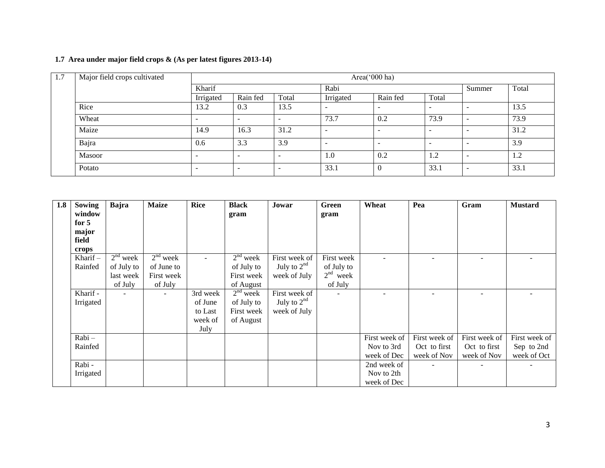# **1.7 Area under major field crops & (As per latest figures 2013-14)**

| 1.7 | Major field crops cultivated | Area('000 ha)            |                          |       |           |                          |                          |                          |       |
|-----|------------------------------|--------------------------|--------------------------|-------|-----------|--------------------------|--------------------------|--------------------------|-------|
|     |                              | Kharif                   |                          |       | Rabi      |                          |                          | Summer                   | Total |
|     |                              | Irrigated                | Rain fed                 | Total | Irrigated | Rain fed                 | Total                    |                          |       |
|     | Rice                         | 13.2                     | 0.3                      | 13.5  |           | $\overline{\phantom{a}}$ | $\overline{\phantom{a}}$ |                          | 13.5  |
|     | Wheat                        | $\overline{\phantom{0}}$ | $\overline{\phantom{0}}$ |       | 73.7      | 0.2                      | 73.9                     |                          | 73.9  |
|     | Maize                        | 14.9                     | 16.3                     | 31.2  |           | $\overline{\phantom{a}}$ | $\overline{\phantom{0}}$ |                          | 31.2  |
|     | Bajra                        | 0.6                      | 3.3                      | 3.9   | -         | $\overline{\phantom{0}}$ | $\overline{\phantom{0}}$ | <b>.</b>                 | 3.9   |
|     | Masoor                       | $\overline{\phantom{0}}$ | $\overline{\phantom{0}}$ |       | 1.0       | 0.2                      | 1.2                      | <b>.</b>                 | 1.2   |
|     | Potato                       | $\overline{\phantom{0}}$ | $\overline{\phantom{0}}$ |       | 33.1      |                          | 33.1                     | $\overline{\phantom{0}}$ | 33.1  |

| 1.8 | Sowing     | Bajra      | <b>Maize</b> | <b>Rice</b> | <b>Black</b> | Jowar         | Green      | Wheat         | Pea                      | Gram          | <b>Mustard</b> |
|-----|------------|------------|--------------|-------------|--------------|---------------|------------|---------------|--------------------------|---------------|----------------|
|     | window     |            |              |             | gram         |               | gram       |               |                          |               |                |
|     | for $5$    |            |              |             |              |               |            |               |                          |               |                |
|     | major      |            |              |             |              |               |            |               |                          |               |                |
|     | field      |            |              |             |              |               |            |               |                          |               |                |
|     | crops      |            |              |             |              |               |            |               |                          |               |                |
|     | Kharif $-$ | $2nd$ week | $2nd$ week   |             | $2nd$ week   | First week of | First week |               |                          |               |                |
|     | Rainfed    | of July to | of June to   |             | of July to   | July to $2nd$ | of July to |               |                          |               |                |
|     |            | last week  | First week   |             | First week   | week of July  | $2nd$ week |               |                          |               |                |
|     |            | of July    | of July      |             | of August    |               | of July    |               |                          |               |                |
|     | Kharif -   |            | $\sim$       | 3rd week    | $2nd$ week   | First week of | $\sim$     |               | $\overline{\phantom{a}}$ |               |                |
|     | Irrigated  |            |              | of June     | of July to   | July to $2nd$ |            |               |                          |               |                |
|     |            |            |              | to Last     | First week   | week of July  |            |               |                          |               |                |
|     |            |            |              | week of     | of August    |               |            |               |                          |               |                |
|     |            |            |              | July        |              |               |            |               |                          |               |                |
|     | $Rabi -$   |            |              |             |              |               |            | First week of | First week of            | First week of | First week of  |
|     | Rainfed    |            |              |             |              |               |            | Nov to 3rd    | Oct to first             | Oct to first  | Sep to 2nd     |
|     |            |            |              |             |              |               |            | week of Dec   | week of Nov              | week of Nov   | week of Oct    |
|     | Rabi-      |            |              |             |              |               |            | 2nd week of   | $\overline{\phantom{a}}$ |               |                |
|     | Irrigated  |            |              |             |              |               |            | Nov to 2th    |                          |               |                |
|     |            |            |              |             |              |               |            | week of Dec   |                          |               |                |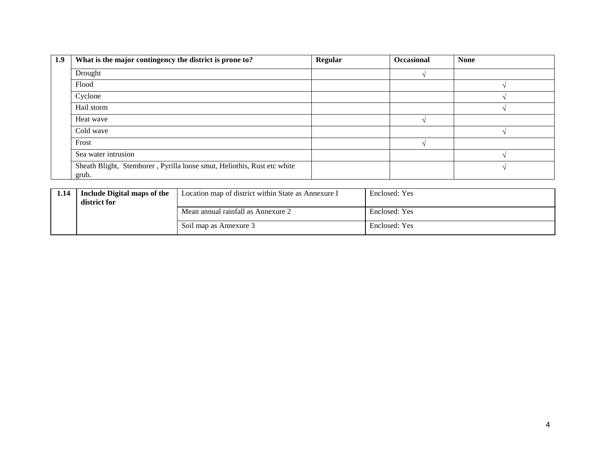| 1.9 | What is the major contingency the district is prone to?                          | Regular | <b>Occasional</b> | <b>None</b> |
|-----|----------------------------------------------------------------------------------|---------|-------------------|-------------|
|     | Drought                                                                          |         |                   |             |
|     | Flood                                                                            |         |                   |             |
|     | Cyclone                                                                          |         |                   |             |
|     | Hail storm                                                                       |         |                   |             |
|     | Heat wave                                                                        |         |                   |             |
|     | Cold wave                                                                        |         |                   |             |
|     | Frost                                                                            |         |                   |             |
|     | Sea water intrusion                                                              |         |                   |             |
|     | Sheath Blight, Stemborer, Pyrilla loose smut, Heliothis, Rust etc white<br>grub. |         |                   |             |

| 1.14 | Include Digital maps of the<br>district for | Location map of district within State as Annexure I | Enclosed: Yes |
|------|---------------------------------------------|-----------------------------------------------------|---------------|
|      |                                             | Mean annual rainfall as Annexure 2                  | Enclosed: Yes |
|      |                                             | Soil map as Annexure 3                              | Enclosed: Yes |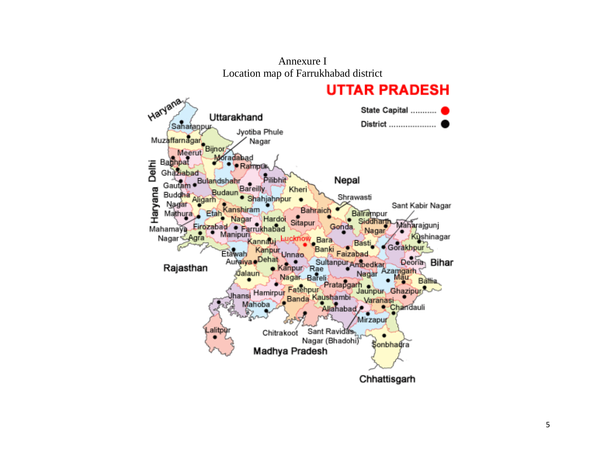

Annexure I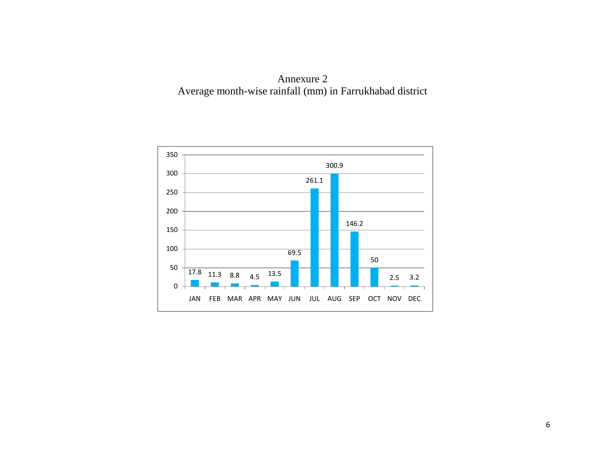

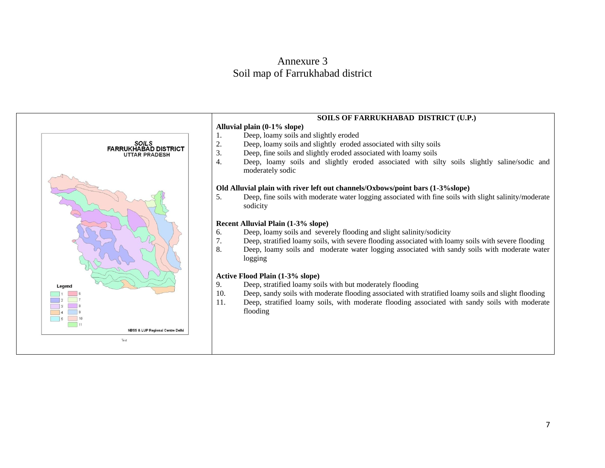# Annexure 3 Soil map of Farrukhabad district



#### **SOILS OF FARRUKHABAD DISTRICT (U.P.)**

- **Alluvial plain (0-1% slope)** 1. Deep, loamy soils and slightly eroded
- 2. Deep, loamy soils and slightly eroded associated with silty soils
- 3. Deep, fine soils and slightly eroded associated with loamy soils
- 4. Deep, loamy soils and slightly eroded associated with silty soils slightly saline/sodic and moderately sodic

#### **Old Alluvial plain with river left out channels/Oxbows/point bars (1-3%slope)**

5. Deep, fine soils with moderate water logging associated with fine soils with slight salinity/moderate sodicity

#### **Recent Alluvial Plain (1-3% slope)**

- 6. Deep, loamy soils and severely flooding and slight salinity/sodicity
- 7. Deep, stratified loamy soils, with severe flooding associated with loamy soils with severe flooding
- 8. Deep, loamy soils and moderate water logging associated with sandy soils with moderate water logging

#### **Active Flood Plain (1-3% slope)**

- 9. Deep, stratified loamy soils with but moderately flooding
- 10. Deep, sandy soils with moderate flooding associated with stratified loamy soils and slight flooding
- 11. Deep, stratified loamy soils, with moderate flooding associated with sandy soils with moderate flooding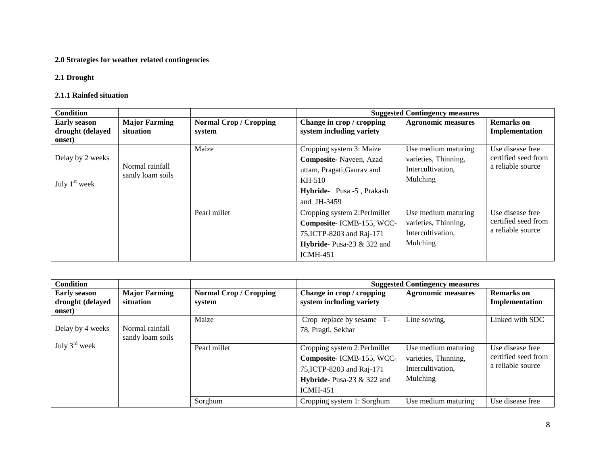# **2.0 Strategies for weather related contingencies**

#### **2.1 Drought**

#### **2.1.1 Rainfed situation**

| <b>Condition</b>                                  |                                     |                                         |                                                                                                                                       | <b>Suggested Contingency measures</b>                                        |                                                                                                                              |
|---------------------------------------------------|-------------------------------------|-----------------------------------------|---------------------------------------------------------------------------------------------------------------------------------------|------------------------------------------------------------------------------|------------------------------------------------------------------------------------------------------------------------------|
| <b>Early season</b><br>drought (delayed<br>onset) | <b>Major Farming</b><br>situation   | <b>Normal Crop / Cropping</b><br>system | Change in crop / cropping<br>system including variety                                                                                 | <b>Agronomic measures</b>                                                    | <b>Remarks</b> on<br>Implementation                                                                                          |
| Delay by 2 weeks<br>July $1st$ week               | Normal rainfall<br>sandy loam soils | Maize                                   | Cropping system 3: Maize<br>Composite-Naveen, Azad<br>uttam, Pragati, Gaurav and<br>KH-510<br>Hybride-Pusa -5, Prakash<br>and JH-3459 | Use medium maturing<br>varieties, Thinning,<br>Intercultivation,<br>Mulching | Use disease free<br>certified seed from<br>a reliable source<br>Use disease free<br>certified seed from<br>a reliable source |
|                                                   |                                     | Pearl millet                            | Cropping system 2:Perlmillet<br>Composite-ICMB-155, WCC-<br>75, ICTP-8203 and Raj-171<br>Hybride-Pusa-23 & 322 and<br><b>ICMH-451</b> | Use medium maturing<br>varieties, Thinning,<br>Intercultivation,<br>Mulching |                                                                                                                              |

| <b>Condition</b>          |                      |                               |                              | <b>Suggested Contingency measures</b> |                     |
|---------------------------|----------------------|-------------------------------|------------------------------|---------------------------------------|---------------------|
| <b>Early season</b>       | <b>Major Farming</b> | <b>Normal Crop / Cropping</b> | Change in crop / cropping    | <b>Agronomic measures</b>             | <b>Remarks</b> on   |
| drought (delayed          | situation            | system                        | system including variety     |                                       | Implementation      |
| onset)                    |                      |                               |                              |                                       |                     |
|                           |                      | Maize                         | Crop replace by sesame -T-   | Line sowing,                          | Linked with SDC     |
| Delay by 4 weeks          | Normal rainfall      |                               | 78, Pragti, Sekhar           |                                       |                     |
|                           | sandy loam soils     |                               |                              |                                       |                     |
| July $3^{\text{rd}}$ week |                      | Pearl millet                  | Cropping system 2:Perlmillet | Use medium maturing                   | Use disease free    |
|                           |                      |                               | Composite-ICMB-155, WCC-     | varieties, Thinning,                  | certified seed from |
|                           |                      |                               | 75, ICTP-8203 and Raj-171    | Intercultivation,                     | a reliable source   |
|                           |                      |                               | Hybride-Pusa-23 $&$ 322 and  | Mulching                              |                     |
|                           |                      |                               | <b>ICMH-451</b>              |                                       |                     |
|                           |                      | Sorghum                       | Cropping system 1: Sorghum   | Use medium maturing                   | Use disease free    |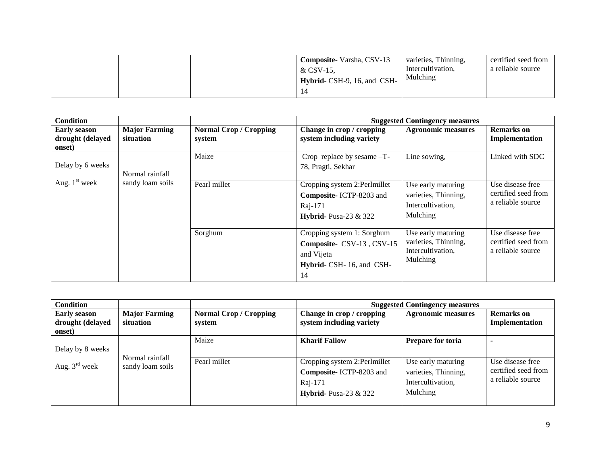| <b>Composite-Varsha, CSV-13</b><br>& CSV-15.<br>Hybrid- CSH-9, 16, and CSH- | varieties, Thinning,<br>Intercultivation,<br>Mulching | certified seed from<br>a reliable source |
|-----------------------------------------------------------------------------|-------------------------------------------------------|------------------------------------------|
|-----------------------------------------------------------------------------|-------------------------------------------------------|------------------------------------------|

| <b>Condition</b>                                  |                                     |                                         |                                                                                                         | <b>Suggested Contingency measures</b>                                       |                                                              |
|---------------------------------------------------|-------------------------------------|-----------------------------------------|---------------------------------------------------------------------------------------------------------|-----------------------------------------------------------------------------|--------------------------------------------------------------|
| <b>Early season</b><br>drought (delayed<br>onset) | <b>Major Farming</b><br>situation   | <b>Normal Crop / Cropping</b><br>system | Change in crop / cropping<br>system including variety                                                   | <b>Agronomic measures</b>                                                   | <b>Remarks</b> on<br>Implementation                          |
| Delay by 6 weeks                                  | Normal rainfall<br>sandy loam soils | Maize                                   | Crop replace by sesame -T-<br>78, Pragti, Sekhar                                                        | Line sowing,                                                                | Linked with SDC                                              |
| Aug. $1st$ week                                   |                                     | Pearl millet                            | Cropping system 2:Perlmillet<br>Composite-ICTP-8203 and<br>Raj-171<br>Hybrid-Pusa-23 $&$ 322            | Use early maturing<br>varieties, Thinning,<br>Intercultivation,<br>Mulching | Use disease free<br>certified seed from<br>a reliable source |
|                                                   |                                     | Sorghum                                 | Cropping system 1: Sorghum<br>Composite- CSV-13, CSV-15<br>and Vijeta<br>Hybrid- CSH-16, and CSH-<br>14 | Use early maturing<br>varieties, Thinning,<br>Intercultivation,<br>Mulching | Use disease free<br>certified seed from<br>a reliable source |

| <b>Condition</b>                                  |                                     |                                         |                                                                                                       | <b>Suggested Contingency measures</b>                                       |                                                              |
|---------------------------------------------------|-------------------------------------|-----------------------------------------|-------------------------------------------------------------------------------------------------------|-----------------------------------------------------------------------------|--------------------------------------------------------------|
| <b>Early season</b><br>drought (delayed<br>onset) | <b>Major Farming</b><br>situation   | <b>Normal Crop / Cropping</b><br>system | Change in crop / cropping<br>system including variety                                                 | <b>Agronomic measures</b>                                                   | <b>Remarks</b> on<br>Implementation                          |
| Delay by 8 weeks                                  |                                     | Maize                                   | <b>Kharif Fallow</b>                                                                                  | <b>Prepare for toria</b>                                                    |                                                              |
| Aug. $3^{\text{rd}}$ week                         | Normal rainfall<br>sandy loam soils | Pearl millet                            | Cropping system 2:Perlmillet<br>Composite-ICTP-8203 and<br>Raj-171<br><b>Hybrid-</b> Pusa-23 $\&$ 322 | Use early maturing<br>varieties, Thinning,<br>Intercultivation,<br>Mulching | Use disease free<br>certified seed from<br>a reliable source |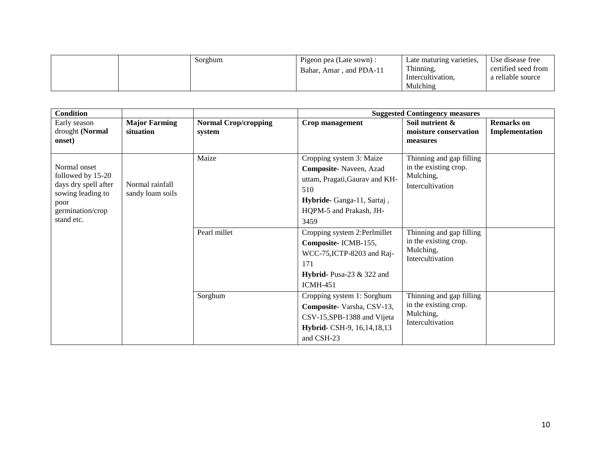|  | Sorghum | Pigeon pea (Late sown) : | Late maturing varieties, | Use disease free    |
|--|---------|--------------------------|--------------------------|---------------------|
|  |         | Bahar, Amar, and PDA-11  | Thinning,                | certified seed from |
|  |         |                          | Intercultivation,        | a reliable source   |
|  |         |                          | Mulching                 |                     |

| <b>Condition</b>                                                                                                         |                                     |                                       |                                                                                                                                                                                             | <b>Suggested Contingency measures</b>                                                                                                   |                                     |
|--------------------------------------------------------------------------------------------------------------------------|-------------------------------------|---------------------------------------|---------------------------------------------------------------------------------------------------------------------------------------------------------------------------------------------|-----------------------------------------------------------------------------------------------------------------------------------------|-------------------------------------|
| Early season<br>drought (Normal<br>onset)                                                                                | <b>Major Farming</b><br>situation   | <b>Normal Crop/cropping</b><br>system | Crop management                                                                                                                                                                             | Soil nutrient &<br>moisture conservation<br>measures                                                                                    | <b>Remarks</b> on<br>Implementation |
| Normal onset<br>followed by 15-20<br>days dry spell after<br>sowing leading to<br>poor<br>germination/crop<br>stand etc. | Normal rainfall<br>sandy loam soils | Maize<br>Pearl millet                 | Cropping system 3: Maize<br>Composite-Naveen, Azad<br>uttam, Pragati, Gaurav and KH-<br>510<br>Hybride-Ganga-11, Sartaj,<br>HQPM-5 and Prakash, JH-<br>3459<br>Cropping system 2:Perlmillet | Thinning and gap filling<br>in the existing crop.<br>Mulching,<br>Intercultivation<br>Thinning and gap filling<br>in the existing crop. |                                     |
|                                                                                                                          |                                     |                                       | Composite-ICMB-155,<br>WCC-75, ICTP-8203 and Raj-<br>171<br>Hybrid-Pusa-23 $&$ 322 and<br><b>ICMH-451</b>                                                                                   | Mulching,<br>Intercultivation                                                                                                           |                                     |
|                                                                                                                          |                                     | Sorghum                               | Cropping system 1: Sorghum<br>Composite-Varsha, CSV-13,<br>CSV-15, SPB-1388 and Vijeta<br>Hybrid- CSH-9, 16, 14, 18, 13<br>and CSH-23                                                       | Thinning and gap filling<br>in the existing crop.<br>Mulching,<br>Intercultivation                                                      |                                     |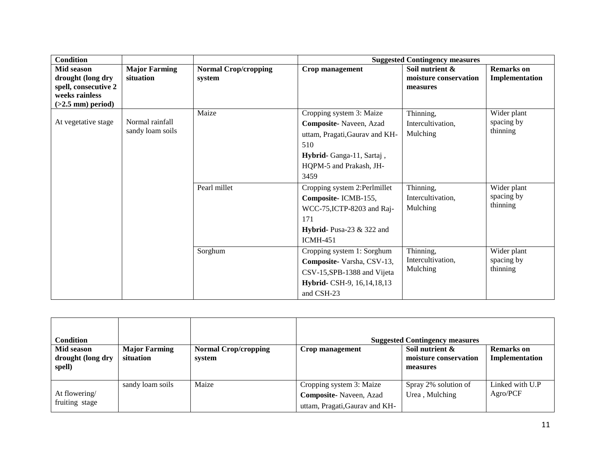| <b>Condition</b>                                                                                 |                                     |                                       | <b>Suggested Contingency measures</b>                                                                                                                                                                                                                                                                    |                                                                                          |                                                                                |  |
|--------------------------------------------------------------------------------------------------|-------------------------------------|---------------------------------------|----------------------------------------------------------------------------------------------------------------------------------------------------------------------------------------------------------------------------------------------------------------------------------------------------------|------------------------------------------------------------------------------------------|--------------------------------------------------------------------------------|--|
| Mid season<br>drought (long dry<br>spell, consecutive 2<br>weeks rainless<br>$(>2.5$ mm) period) | <b>Major Farming</b><br>situation   | <b>Normal Crop/cropping</b><br>system | Crop management                                                                                                                                                                                                                                                                                          | Soil nutrient &<br>moisture conservation<br>measures                                     | <b>Remarks</b> on<br>Implementation                                            |  |
| At vegetative stage                                                                              | Normal rainfall<br>sandy loam soils | Maize<br>Pearl millet                 | Cropping system 3: Maize<br>Composite-Naveen, Azad<br>uttam, Pragati, Gaurav and KH-<br>510<br>Hybrid-Ganga-11, Sartaj,<br>HQPM-5 and Prakash, JH-<br>3459<br>Cropping system 2:Perlmillet<br>Composite-ICMB-155,<br>WCC-75, ICTP-8203 and Raj-<br>171<br>Hybrid- Pusa-23 $&$ 322 and<br><b>ICMH-451</b> | Thinning,<br>Intercultivation.<br>Mulching<br>Thinning,<br>Intercultivation,<br>Mulching | Wider plant<br>spacing by<br>thinning<br>Wider plant<br>spacing by<br>thinning |  |
|                                                                                                  |                                     | Sorghum                               | Cropping system 1: Sorghum<br>Composite-Varsha, CSV-13,<br>CSV-15, SPB-1388 and Vijeta<br>Hybrid- CSH-9, 16, 14, 18, 13<br>and CSH-23                                                                                                                                                                    | Thinning,<br>Intercultivation,<br>Mulching                                               | Wider plant<br>spacing by<br>thinning                                          |  |

| Condition<br>Mid season<br>drought (long dry<br>spell) | <b>Major Farming</b><br>situation | <b>Normal Crop/cropping</b><br>system | Crop management                                                  | <b>Suggested Contingency measures</b><br>Soil nutrient &<br>moisture conservation<br>measures | <b>Remarks</b> on<br>Implementation |
|--------------------------------------------------------|-----------------------------------|---------------------------------------|------------------------------------------------------------------|-----------------------------------------------------------------------------------------------|-------------------------------------|
|                                                        | sandy loam soils                  | Maize                                 | Cropping system 3: Maize                                         | Spray 2% solution of                                                                          | Linked with U.P                     |
| At flowering/<br>fruiting stage                        |                                   |                                       | <b>Composite-</b> Naveen, Azad<br>uttam, Pragati, Gaurav and KH- | Urea, Mulching                                                                                | Agro/PCF                            |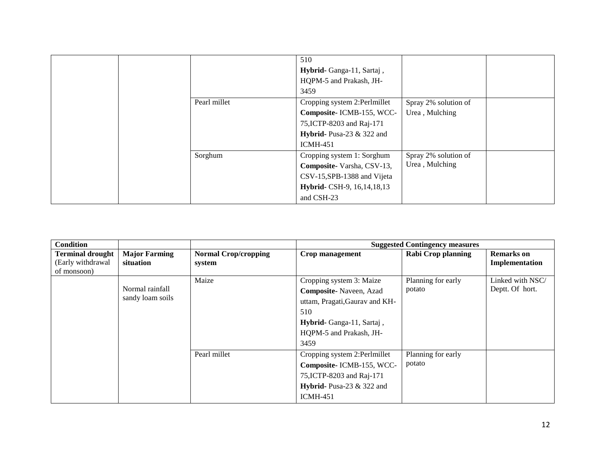|  |                           | 510                                 |                      |  |
|--|---------------------------|-------------------------------------|----------------------|--|
|  |                           | Hybrid-Ganga-11, Sartaj,            |                      |  |
|  |                           | HQPM-5 and Prakash, JH-             |                      |  |
|  |                           | 3459                                |                      |  |
|  | Pearl millet              | Cropping system 2:Perlmillet        | Spray 2% solution of |  |
|  |                           | Composite-ICMB-155, WCC-            | Urea, Mulching       |  |
|  |                           | 75, ICTP-8203 and Raj-171           |                      |  |
|  |                           | <b>Hybrid-</b> Pusa-23 $\&$ 322 and |                      |  |
|  |                           | <b>ICMH-451</b>                     |                      |  |
|  | Sorghum                   | Cropping system 1: Sorghum          | Spray 2% solution of |  |
|  | Composite-Varsha, CSV-13, | Urea, Mulching                      |                      |  |
|  |                           | CSV-15, SPB-1388 and Vijeta         |                      |  |
|  |                           | Hybrid- CSH-9, 16, 14, 18, 13       |                      |  |
|  |                           | and CSH-23                          |                      |  |

| <b>Condition</b>                             |                                   |                                       |                                | <b>Suggested Contingency measures</b> |                                     |
|----------------------------------------------|-----------------------------------|---------------------------------------|--------------------------------|---------------------------------------|-------------------------------------|
| <b>Terminal drought</b><br>(Early withdrawal | <b>Major Farming</b><br>situation | <b>Normal Crop/cropping</b><br>system | Crop management                | <b>Rabi Crop planning</b>             | <b>Remarks</b> on<br>Implementation |
| of monsoon)                                  |                                   |                                       |                                |                                       |                                     |
|                                              |                                   | Maize                                 | Cropping system 3: Maize       | Planning for early                    | Linked with NSC/                    |
|                                              | Normal rainfall                   |                                       | Composite-Naveen, Azad         | potato                                | Deptt. Of hort.                     |
|                                              | sandy loam soils                  |                                       | uttam, Pragati, Gaurav and KH- |                                       |                                     |
|                                              |                                   |                                       | 510                            |                                       |                                     |
|                                              |                                   |                                       | Hybrid-Ganga-11, Sartaj,       |                                       |                                     |
|                                              |                                   |                                       | HQPM-5 and Prakash, JH-        |                                       |                                     |
|                                              |                                   |                                       | 3459                           |                                       |                                     |
|                                              |                                   | Pearl millet                          | Cropping system 2:Perlmillet   | Planning for early                    |                                     |
|                                              |                                   |                                       | Composite-ICMB-155, WCC-       | potato                                |                                     |
|                                              |                                   |                                       | 75, ICTP-8203 and Raj-171      |                                       |                                     |
|                                              |                                   |                                       | Hybrid-Pusa-23 $&$ 322 and     |                                       |                                     |
|                                              |                                   |                                       | $ICMH-451$                     |                                       |                                     |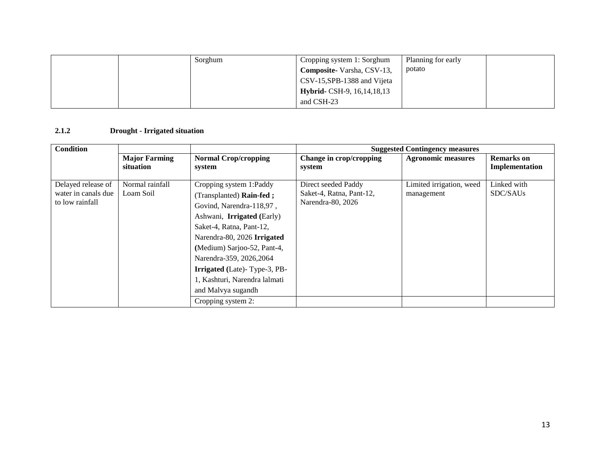|  | Sorghum | Cropping system 1: Sorghum           | Planning for early |  |
|--|---------|--------------------------------------|--------------------|--|
|  |         | Composite-Varsha, CSV-13,            | potato             |  |
|  |         | CSV-15, SPB-1388 and Vijeta          |                    |  |
|  |         | <b>Hybrid-</b> CSH-9, 16, 14, 18, 13 |                    |  |
|  |         | and CSH-23                           |                    |  |

#### **2.1.2 Drought - Irrigated situation**

| Condition                                                    |                                   |                                                                                                                                                                                                                                                                                                                                   |                                                                      | <b>Suggested Contingency measures</b>  |                                     |
|--------------------------------------------------------------|-----------------------------------|-----------------------------------------------------------------------------------------------------------------------------------------------------------------------------------------------------------------------------------------------------------------------------------------------------------------------------------|----------------------------------------------------------------------|----------------------------------------|-------------------------------------|
|                                                              | <b>Major Farming</b><br>situation | <b>Normal Crop/cropping</b><br>system                                                                                                                                                                                                                                                                                             | Change in crop/cropping<br>system                                    | <b>Agronomic measures</b>              | <b>Remarks</b> on<br>Implementation |
| Delayed release of<br>water in canals due<br>to low rainfall | Normal rainfall<br>Loam Soil      | Cropping system 1:Paddy<br>(Transplanted) Rain-fed;<br>Govind, Narendra-118,97,<br>Ashwani, Irrigated (Early)<br>Saket-4, Ratna, Pant-12,<br>Narendra-80, 2026 Irrigated<br>(Medium) Sarjoo-52, Pant-4,<br>Narendra-359, 2026, 2064<br><b>Irrigated</b> (Late)-Type-3, PB-<br>1, Kashturi, Narendra lalmati<br>and Malvya sugandh | Direct seeded Paddy<br>Saket-4, Ratna, Pant-12,<br>Narendra-80, 2026 | Limited irrigation, weed<br>management | Linked with<br>SDC/SAUs             |
|                                                              |                                   | Cropping system 2:                                                                                                                                                                                                                                                                                                                |                                                                      |                                        |                                     |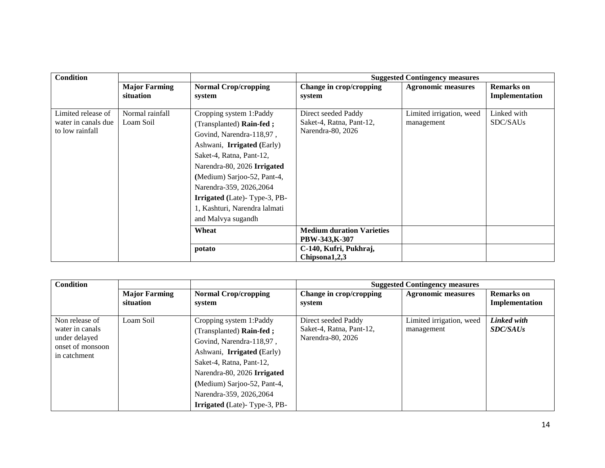| <b>Condition</b>                                             |                                   |                                                                                                                                                                                                                                                                                                                                          |                                                                      | <b>Suggested Contingency measures</b>  |                                     |
|--------------------------------------------------------------|-----------------------------------|------------------------------------------------------------------------------------------------------------------------------------------------------------------------------------------------------------------------------------------------------------------------------------------------------------------------------------------|----------------------------------------------------------------------|----------------------------------------|-------------------------------------|
|                                                              | <b>Major Farming</b><br>situation | <b>Normal Crop/cropping</b><br>system                                                                                                                                                                                                                                                                                                    | Change in crop/cropping<br>system                                    | <b>Agronomic measures</b>              | <b>Remarks</b> on<br>Implementation |
| Limited release of<br>water in canals due<br>to low rainfall | Normal rainfall<br>Loam Soil      | Cropping system 1:Paddy<br>(Transplanted) Rain-fed;<br>Govind, Narendra-118,97,<br>Ashwani, <b>Irrigated</b> (Early)<br>Saket-4, Ratna, Pant-12,<br>Narendra-80, 2026 Irrigated<br>(Medium) Sarjoo-52, Pant-4,<br>Narendra-359, 2026, 2064<br><b>Irrigated</b> (Late)-Type-3, PB-<br>1, Kashturi, Narendra lalmati<br>and Malvya sugandh | Direct seeded Paddy<br>Saket-4, Ratna, Pant-12,<br>Narendra-80, 2026 | Limited irrigation, weed<br>management | Linked with<br>SDC/SAUs             |
|                                                              |                                   | Wheat                                                                                                                                                                                                                                                                                                                                    | <b>Medium duration Varieties</b><br>PBW-343,K-307                    |                                        |                                     |
|                                                              |                                   | potato                                                                                                                                                                                                                                                                                                                                   | C-140, Kufri, Pukhraj,<br>Chipsona1,2,3                              |                                        |                                     |

| <b>Condition</b>                  |                      |                                     |                          | <b>Suggested Contingency measures</b> |                   |
|-----------------------------------|----------------------|-------------------------------------|--------------------------|---------------------------------------|-------------------|
|                                   | <b>Major Farming</b> | <b>Normal Crop/cropping</b>         | Change in crop/cropping  | <b>Agronomic measures</b>             | <b>Remarks</b> on |
|                                   | situation            | system                              | system                   |                                       | Implementation    |
| Non release of                    | Loam Soil            |                                     | Direct seeded Paddy      | Limited irrigation, weed              | Linked with       |
|                                   |                      | Cropping system 1:Paddy             |                          |                                       |                   |
| water in canals                   |                      | (Transplanted) Rain-fed;            | Saket-4, Ratna, Pant-12, | management                            | <b>SDC/SAUs</b>   |
| under delayed<br>onset of monsoon |                      | Govind, Narendra-118,97,            | Narendra-80, 2026        |                                       |                   |
| in catchment                      |                      | Ashwani, <b>Irrigated</b> (Early)   |                          |                                       |                   |
|                                   |                      | Saket-4, Ratna, Pant-12,            |                          |                                       |                   |
|                                   |                      | Narendra-80, 2026 Irrigated         |                          |                                       |                   |
|                                   |                      | (Medium) Sarjoo-52, Pant-4,         |                          |                                       |                   |
|                                   |                      | Narendra-359, 2026, 2064            |                          |                                       |                   |
|                                   |                      | <b>Irrigated</b> (Late)-Type-3, PB- |                          |                                       |                   |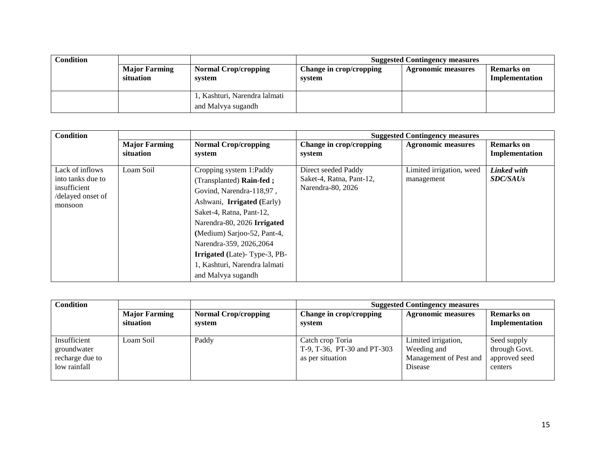| <b>Condition</b> |                                   |                                                    |                                   | <b>Suggested Contingency measures</b> |                              |
|------------------|-----------------------------------|----------------------------------------------------|-----------------------------------|---------------------------------------|------------------------------|
|                  | <b>Major Farming</b><br>situation | <b>Normal Crop/cropping</b><br>system              | Change in crop/cropping<br>system | <b>Agronomic measures</b>             | Remarks on<br>Implementation |
|                  |                                   | , Kashturi, Narendra lalmati<br>and Malvya sugandh |                                   |                                       |                              |

| Condition                                                                            |                      |                                                                                                                                                                                                                                                                                                                    | <b>Suggested Contingency measures</b>                                |                                        |                                |
|--------------------------------------------------------------------------------------|----------------------|--------------------------------------------------------------------------------------------------------------------------------------------------------------------------------------------------------------------------------------------------------------------------------------------------------------------|----------------------------------------------------------------------|----------------------------------------|--------------------------------|
|                                                                                      | <b>Major Farming</b> | <b>Normal Crop/cropping</b>                                                                                                                                                                                                                                                                                        | Change in crop/cropping                                              | <b>Agronomic measures</b>              | <b>Remarks</b> on              |
|                                                                                      | situation            | system                                                                                                                                                                                                                                                                                                             | system                                                               |                                        | Implementation                 |
| Lack of inflows<br>into tanks due to<br>insufficient<br>/delayed onset of<br>monsoon | Loam Soil            | Cropping system 1:Paddy<br>(Transplanted) Rain-fed;<br>Govind, Narendra-118,97,<br>Ashwani, <b>Irrigated</b> (Early)<br>Saket-4, Ratna, Pant-12,<br>Narendra-80, 2026 Irrigated<br>(Medium) Sarjoo-52, Pant-4,<br>Narendra-359, 2026, 2064<br><b>Irrigated</b> (Late)-Type-3, PB-<br>1, Kashturi, Narendra lalmati | Direct seeded Paddy<br>Saket-4, Ratna, Pant-12,<br>Narendra-80, 2026 | Limited irrigation, weed<br>management | Linked with<br><b>SDC/SAUs</b> |
|                                                                                      |                      | and Malvya sugandh                                                                                                                                                                                                                                                                                                 |                                                                      |                                        |                                |

| <b>Condition</b>                                               |                                   |                                       | <b>Suggested Contingency measures</b>                               |                                                                         |                                                          |
|----------------------------------------------------------------|-----------------------------------|---------------------------------------|---------------------------------------------------------------------|-------------------------------------------------------------------------|----------------------------------------------------------|
|                                                                | <b>Major Farming</b><br>situation | <b>Normal Crop/cropping</b><br>system | Change in crop/cropping<br>system                                   | <b>Agronomic measures</b>                                               | <b>Remarks</b> on<br>Implementation                      |
| Insufficient<br>groundwater<br>recharge due to<br>low rainfall | Loam Soil                         | Paddy                                 | Catch crop Toria<br>T-9, T-36, PT-30 and PT-303<br>as per situation | Limited irrigation,<br>Weeding and<br>Management of Pest and<br>Disease | Seed supply<br>through Govt.<br>approved seed<br>centers |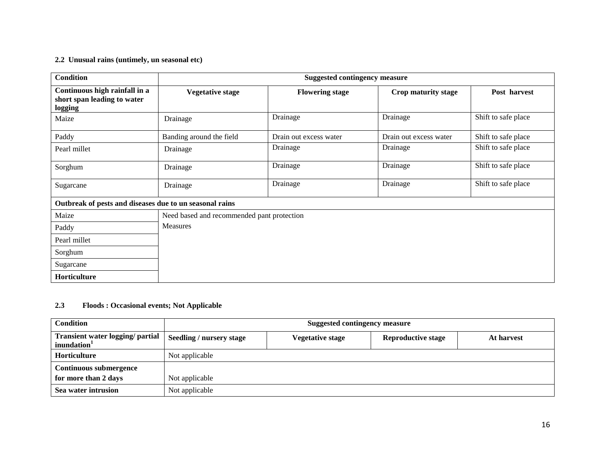#### **2.2 Unusual rains (untimely, un seasonal etc)**

| <b>Condition</b>                                                        | <b>Suggested contingency measure</b>       |                        |                        |                     |  |
|-------------------------------------------------------------------------|--------------------------------------------|------------------------|------------------------|---------------------|--|
| Continuous high rainfall in a<br>short span leading to water<br>logging | <b>Vegetative stage</b>                    | <b>Flowering stage</b> | Crop maturity stage    | Post harvest        |  |
| Maize                                                                   | Drainage                                   | Drainage               | Drainage               | Shift to safe place |  |
| Paddy                                                                   | Banding around the field                   | Drain out excess water | Drain out excess water | Shift to safe place |  |
| Pearl millet                                                            | Drainage                                   | Drainage               | Drainage               | Shift to safe place |  |
| Sorghum                                                                 | Drainage                                   | Drainage               | Drainage               | Shift to safe place |  |
| Sugarcane                                                               | Drainage                                   | Drainage               | Drainage               | Shift to safe place |  |
| Outbreak of pests and diseases due to un seasonal rains                 |                                            |                        |                        |                     |  |
| Maize                                                                   | Need based and recommended pant protection |                        |                        |                     |  |
| Paddy                                                                   | <b>Measures</b>                            |                        |                        |                     |  |
| Pearl millet                                                            |                                            |                        |                        |                     |  |
| Sorghum                                                                 |                                            |                        |                        |                     |  |
| Sugarcane                                                               |                                            |                        |                        |                     |  |
| Horticulture                                                            |                                            |                        |                        |                     |  |

#### **2.3 Floods : Occasional events; Not Applicable**

| <b>Condition</b>                                            | <b>Suggested contingency measure</b> |                  |                           |            |
|-------------------------------------------------------------|--------------------------------------|------------------|---------------------------|------------|
| Transient water logging/ partial<br>inundation <sup>1</sup> | <b>Seedling / nursery stage</b>      | Vegetative stage | <b>Reproductive stage</b> | At harvest |
| <b>Horticulture</b>                                         | Not applicable                       |                  |                           |            |
| <b>Continuous submergence</b>                               |                                      |                  |                           |            |
| for more than 2 days                                        | Not applicable                       |                  |                           |            |
| Sea water intrusion                                         | Not applicable                       |                  |                           |            |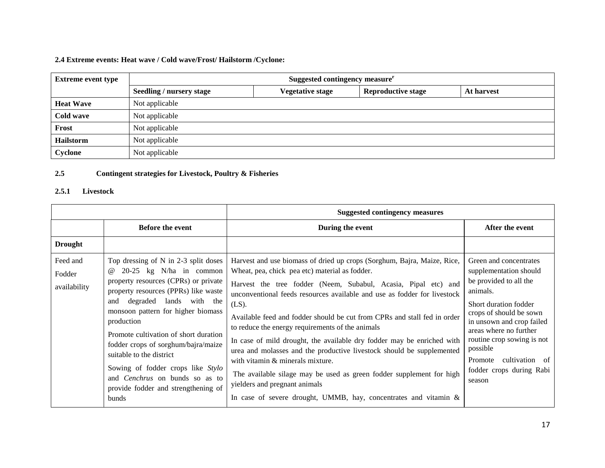# **2.4 Extreme events: Heat wave / Cold wave/Frost/ Hailstorm /Cyclone:**

| <b>Extreme event type</b> | Suggested contingency measure <sup>r</sup>                                                     |  |  |  |  |  |  |
|---------------------------|------------------------------------------------------------------------------------------------|--|--|--|--|--|--|
|                           | <b>Reproductive stage</b><br><b>Seedling / nursery stage</b><br>Vegetative stage<br>At harvest |  |  |  |  |  |  |
| <b>Heat Wave</b>          | Not applicable                                                                                 |  |  |  |  |  |  |
| Cold wave                 | Not applicable                                                                                 |  |  |  |  |  |  |
| Frost                     | Not applicable                                                                                 |  |  |  |  |  |  |
| <b>Hailstorm</b>          | Not applicable                                                                                 |  |  |  |  |  |  |
| Cyclone                   | Not applicable                                                                                 |  |  |  |  |  |  |

#### **2.5 Contingent strategies for Livestock, Poultry & Fisheries**

# **2.5.1 Livestock**

|                                    |                                                                                                                                                                                                                                                                                                                                                                                                                                                                                               | <b>Suggested contingency measures</b>                                                                                                                                                                                                                                                                                                                                                                                                                                                                                                                                                                                                                                                                                                                                                      |                                                                                                                                                                                                                                                                                                                |
|------------------------------------|-----------------------------------------------------------------------------------------------------------------------------------------------------------------------------------------------------------------------------------------------------------------------------------------------------------------------------------------------------------------------------------------------------------------------------------------------------------------------------------------------|--------------------------------------------------------------------------------------------------------------------------------------------------------------------------------------------------------------------------------------------------------------------------------------------------------------------------------------------------------------------------------------------------------------------------------------------------------------------------------------------------------------------------------------------------------------------------------------------------------------------------------------------------------------------------------------------------------------------------------------------------------------------------------------------|----------------------------------------------------------------------------------------------------------------------------------------------------------------------------------------------------------------------------------------------------------------------------------------------------------------|
|                                    | <b>Before the event</b>                                                                                                                                                                                                                                                                                                                                                                                                                                                                       | During the event                                                                                                                                                                                                                                                                                                                                                                                                                                                                                                                                                                                                                                                                                                                                                                           | After the event                                                                                                                                                                                                                                                                                                |
| <b>Drought</b>                     |                                                                                                                                                                                                                                                                                                                                                                                                                                                                                               |                                                                                                                                                                                                                                                                                                                                                                                                                                                                                                                                                                                                                                                                                                                                                                                            |                                                                                                                                                                                                                                                                                                                |
| Feed and<br>Fodder<br>availability | Top dressing of $N$ in 2-3 split doses<br>$20-25$ kg N/ha in common<br>$^{\omega}{}$<br>property resources (CPRs) or private<br>property resources (PPRs) like waste<br>degraded lands with the<br>and<br>monsoon pattern for higher biomass<br>production<br>Promote cultivation of short duration<br>fodder crops of sorghum/bajra/maize<br>suitable to the district<br>Sowing of fodder crops like Stylo<br>and Cenchrus on bunds so as to<br>provide fodder and strengthening of<br>bunds | Harvest and use biomass of dried up crops (Sorghum, Bajra, Maize, Rice,<br>Wheat, pea, chick pea etc) material as fodder.<br>Harvest the tree fodder (Neem, Subabul, Acasia, Pipal etc) and<br>unconventional feeds resources available and use as fodder for livestock<br>$(LS)$ .<br>Available feed and fodder should be cut from CPRs and stall fed in order<br>to reduce the energy requirements of the animals<br>In case of mild drought, the available dry fodder may be enriched with<br>urea and molasses and the productive livestock should be supplemented<br>with vitamin & minerals mixture.<br>The available silage may be used as green fodder supplement for high<br>yielders and pregnant animals<br>In case of severe drought, UMMB, hay, concentrates and vitamin $\&$ | Green and concentrates<br>supplementation should<br>be provided to all the<br>animals.<br>Short duration fodder<br>crops of should be sown<br>in unsown and crop failed<br>areas where no further<br>routine crop sowing is not<br>possible<br>cultivation of<br>Promote<br>fodder crops during Rabi<br>season |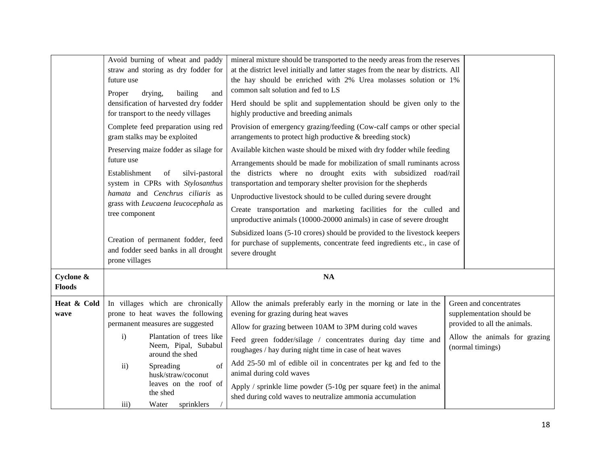|               |                                                       | Avoid burning of wheat and paddy                                    | mineral mixture should be transported to the needy areas from the reserves                                                           |  |                               |
|---------------|-------------------------------------------------------|---------------------------------------------------------------------|--------------------------------------------------------------------------------------------------------------------------------------|--|-------------------------------|
|               |                                                       | straw and storing as dry fodder for                                 | at the district level initially and latter stages from the near by districts. All                                                    |  |                               |
|               | future use                                            |                                                                     | the hay should be enriched with 2% Urea molasses solution or 1%                                                                      |  |                               |
|               | Proper                                                | bailing<br>drying,<br>and                                           | common salt solution and fed to LS                                                                                                   |  |                               |
|               |                                                       | densification of harvested dry fodder                               | Herd should be split and supplementation should be given only to the                                                                 |  |                               |
|               |                                                       | for transport to the needy villages                                 | highly productive and breeding animals                                                                                               |  |                               |
|               |                                                       | Complete feed preparation using red<br>gram stalks may be exploited | Provision of emergency grazing/feeding (Cow-calf camps or other special<br>arrangements to protect high productive & breeding stock) |  |                               |
|               |                                                       | Preserving maize fodder as silage for                               | Available kitchen waste should be mixed with dry fodder while feeding                                                                |  |                               |
|               | future use                                            |                                                                     | Arrangements should be made for mobilization of small ruminants across                                                               |  |                               |
|               | Establishment                                         | silvi-pastoral<br>of                                                | the districts where no drought exits with subsidized road/rail                                                                       |  |                               |
|               |                                                       | system in CPRs with Stylosanthus                                    | transportation and temporary shelter provision for the shepherds                                                                     |  |                               |
|               |                                                       | hamata and Cenchrus ciliaris as                                     | Unproductive livestock should to be culled during severe drought                                                                     |  |                               |
|               | grass with Leucaena leucocephala as<br>tree component |                                                                     | Create transportation and marketing facilities for the culled and                                                                    |  |                               |
|               |                                                       |                                                                     | unproductive animals (10000-20000 animals) in case of severe drought                                                                 |  |                               |
|               |                                                       |                                                                     | Subsidized loans (5-10 crores) should be provided to the livestock keepers                                                           |  |                               |
|               | Creation of permanent fodder, feed                    |                                                                     | for purchase of supplements, concentrate feed ingredients etc., in case of                                                           |  |                               |
|               | prone villages                                        | and fodder seed banks in all drought                                | severe drought                                                                                                                       |  |                               |
|               |                                                       |                                                                     |                                                                                                                                      |  |                               |
| Cyclone &     |                                                       |                                                                     | <b>NA</b>                                                                                                                            |  |                               |
| <b>Floods</b> |                                                       |                                                                     |                                                                                                                                      |  |                               |
| Heat & Cold   |                                                       | In villages which are chronically                                   | Allow the animals preferably early in the morning or late in the                                                                     |  | Green and concentrates        |
| wave          |                                                       | prone to heat waves the following                                   | evening for grazing during heat waves                                                                                                |  | supplementation should be     |
|               |                                                       | permanent measures are suggested                                    | Allow for grazing between 10AM to 3PM during cold waves                                                                              |  | provided to all the animals.  |
|               | $\mathbf{i}$                                          | Plantation of trees like                                            | Feed green fodder/silage / concentrates during day time and                                                                          |  | Allow the animals for grazing |
|               |                                                       | Neem, Pipal, Subabul<br>around the shed                             | roughages / hay during night time in case of heat waves                                                                              |  | (normal timings)              |
|               | $\overline{11}$ )                                     | of<br>Spreading<br>husk/straw/coconut                               | Add 25-50 ml of edible oil in concentrates per kg and fed to the<br>animal during cold waves                                         |  |                               |
|               |                                                       | leaves on the roof of                                               | Apply / sprinkle lime powder $(5-10)$ g per square feet) in the animal                                                               |  |                               |
|               |                                                       | the shed                                                            | shed during cold waves to neutralize ammonia accumulation                                                                            |  |                               |
|               | $\overline{111}$ )                                    | Water<br>sprinklers                                                 |                                                                                                                                      |  |                               |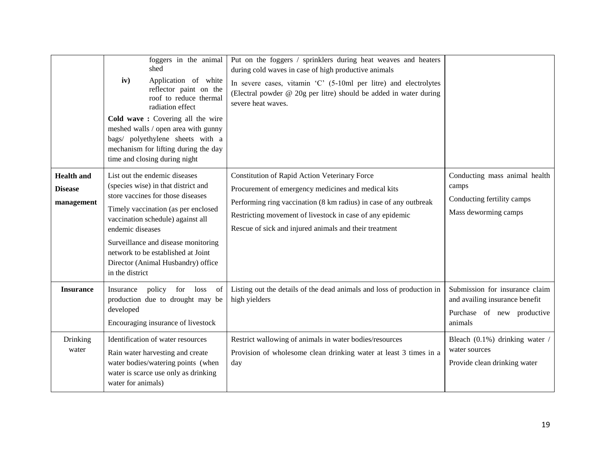|                                                   | foggers in the animal<br>shed<br>Application of white<br>iv)<br>reflector paint on the<br>roof to reduce thermal<br>radiation effect<br>Cold wave: Covering all the wire<br>meshed walls / open area with gunny<br>bags/ polyethylene sheets with a<br>mechanism for lifting during the day<br>time and closing during night                    | Put on the foggers / sprinklers during heat weaves and heaters<br>during cold waves in case of high productive animals<br>In severe cases, vitamin 'C' (5-10ml per litre) and electrolytes<br>(Electral powder @ 20g per litre) should be added in water during<br>severe heat waves.                   |                                                                                                           |
|---------------------------------------------------|-------------------------------------------------------------------------------------------------------------------------------------------------------------------------------------------------------------------------------------------------------------------------------------------------------------------------------------------------|---------------------------------------------------------------------------------------------------------------------------------------------------------------------------------------------------------------------------------------------------------------------------------------------------------|-----------------------------------------------------------------------------------------------------------|
| <b>Health and</b><br><b>Disease</b><br>management | List out the endemic diseases<br>(species wise) in that district and<br>store vaccines for those diseases<br>Timely vaccination (as per enclosed<br>vaccination schedule) against all<br>endemic diseases<br>Surveillance and disease monitoring<br>network to be established at Joint<br>Director (Animal Husbandry) office<br>in the district | <b>Constitution of Rapid Action Veterinary Force</b><br>Procurement of emergency medicines and medical kits<br>Performing ring vaccination (8 km radius) in case of any outbreak<br>Restricting movement of livestock in case of any epidemic<br>Rescue of sick and injured animals and their treatment | Conducting mass animal health<br>camps<br>Conducting fertility camps<br>Mass deworming camps              |
| <b>Insurance</b>                                  | policy<br>for loss<br>of<br>Insurance<br>production due to drought may be<br>developed<br>Encouraging insurance of livestock                                                                                                                                                                                                                    | Listing out the details of the dead animals and loss of production in<br>high yielders                                                                                                                                                                                                                  | Submission for insurance claim<br>and availing insurance benefit<br>Purchase of new productive<br>animals |
| Drinking<br>water                                 | Identification of water resources<br>Rain water harvesting and create<br>water bodies/watering points (when<br>water is scarce use only as drinking<br>water for animals)                                                                                                                                                                       | Restrict wallowing of animals in water bodies/resources<br>Provision of wholesome clean drinking water at least 3 times in a<br>day                                                                                                                                                                     | Bleach (0.1%) drinking water /<br>water sources<br>Provide clean drinking water                           |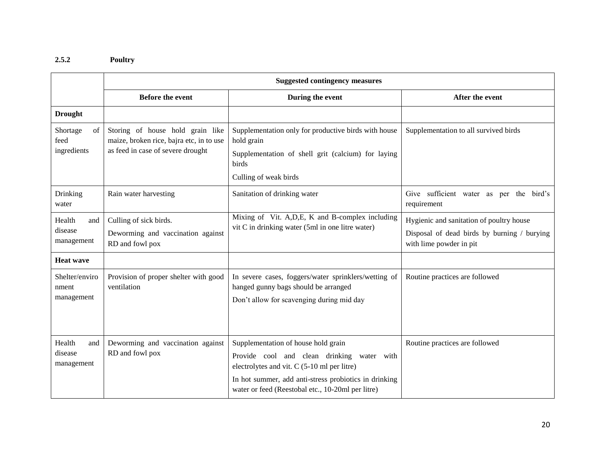# **2.5.2 Poultry**

|                                        | <b>Suggested contingency measures</b>                                                                             |                                                                                                                                                           |                                                                                                                    |  |  |  |
|----------------------------------------|-------------------------------------------------------------------------------------------------------------------|-----------------------------------------------------------------------------------------------------------------------------------------------------------|--------------------------------------------------------------------------------------------------------------------|--|--|--|
|                                        | <b>Before the event</b>                                                                                           | During the event                                                                                                                                          | After the event                                                                                                    |  |  |  |
| <b>Drought</b>                         |                                                                                                                   |                                                                                                                                                           |                                                                                                                    |  |  |  |
| Shortage<br>of<br>feed<br>ingredients  | Storing of house hold grain like<br>maize, broken rice, bajra etc, in to use<br>as feed in case of severe drought | Supplementation only for productive birds with house<br>hold grain                                                                                        | Supplementation to all survived birds                                                                              |  |  |  |
|                                        |                                                                                                                   | Supplementation of shell grit (calcium) for laying<br>birds                                                                                               |                                                                                                                    |  |  |  |
|                                        |                                                                                                                   | Culling of weak birds                                                                                                                                     |                                                                                                                    |  |  |  |
| Drinking<br>water                      | Rain water harvesting                                                                                             | Sanitation of drinking water                                                                                                                              | Give sufficient water as per the bird's<br>requirement                                                             |  |  |  |
| Health<br>and<br>disease<br>management | Culling of sick birds.<br>Deworming and vaccination against<br>RD and fowl pox                                    | Mixing of Vit. A, D, E, K and B-complex including<br>vit C in drinking water (5ml in one litre water)                                                     | Hygienic and sanitation of poultry house<br>Disposal of dead birds by burning / burying<br>with lime powder in pit |  |  |  |
| <b>Heat wave</b>                       |                                                                                                                   |                                                                                                                                                           |                                                                                                                    |  |  |  |
| Shelter/enviro<br>nment<br>management  | Provision of proper shelter with good<br>ventilation                                                              | In severe cases, foggers/water sprinklers/wetting of<br>hanged gunny bags should be arranged                                                              | Routine practices are followed                                                                                     |  |  |  |
|                                        |                                                                                                                   | Don't allow for scavenging during mid day                                                                                                                 |                                                                                                                    |  |  |  |
| Health<br>and<br>disease<br>management | Deworming and vaccination against<br>RD and fowl pox                                                              | Supplementation of house hold grain<br>Provide cool and clean drinking water with                                                                         | Routine practices are followed                                                                                     |  |  |  |
|                                        |                                                                                                                   | electrolytes and vit. C (5-10 ml per litre)<br>In hot summer, add anti-stress probiotics in drinking<br>water or feed (Reestobal etc., 10-20ml per litre) |                                                                                                                    |  |  |  |